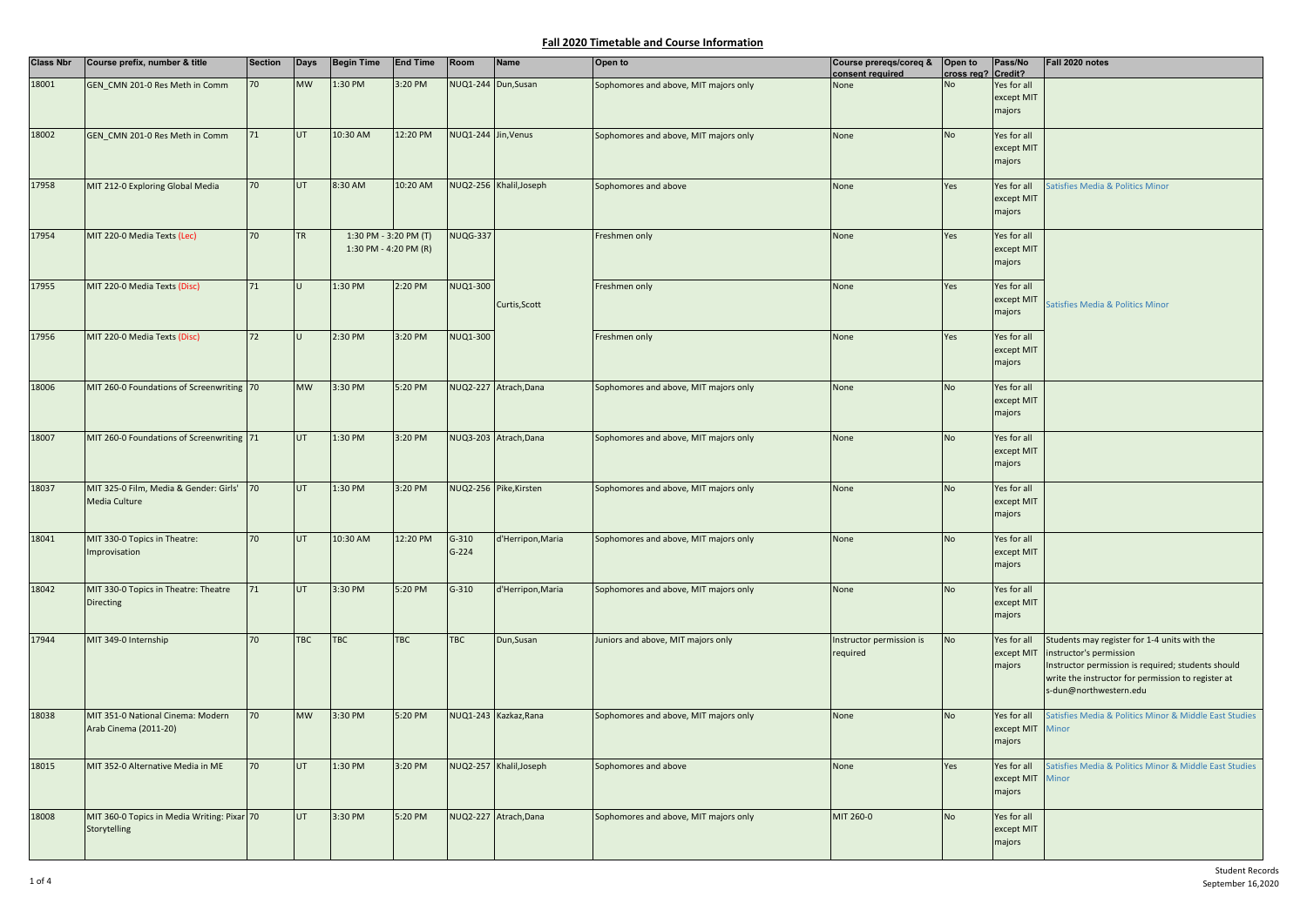| <b>Class Nbr</b> | Course prefix, number & title                               | <b>Section</b> | Days       | <b>Begin Time</b>                              | <b>End Time</b> | Room                 | <b>Name</b>             | Open to                               | Course prereqs/coreq &<br>consent required | Open to<br>cross reg? Credit? | Pass/No                             | Fall 2020 notes                                                                                                                                                                                               |
|------------------|-------------------------------------------------------------|----------------|------------|------------------------------------------------|-----------------|----------------------|-------------------------|---------------------------------------|--------------------------------------------|-------------------------------|-------------------------------------|---------------------------------------------------------------------------------------------------------------------------------------------------------------------------------------------------------------|
| 18001            | GEN_CMN 201-0 Res Meth in Comm                              | 70             | <b>MW</b>  | 1:30 PM                                        | 3:20 PM         | NUQ1-244 Dun, Susan  |                         | Sophomores and above, MIT majors only | None                                       | Nη                            | Yes for all<br>except MIT           |                                                                                                                                                                                                               |
|                  |                                                             |                |            |                                                |                 |                      |                         |                                       |                                            |                               | majors                              |                                                                                                                                                                                                               |
| 18002            | GEN CMN 201-0 Res Meth in Comm                              | 71             | UT.        | 10:30 AM                                       | 12:20 PM        | NUQ1-244 Jin, Venus  |                         | Sophomores and above, MIT majors only | None                                       | <b>No</b>                     | Yes for all<br>except MIT<br>majors |                                                                                                                                                                                                               |
| 17958            | MIT 212-0 Exploring Global Media                            | 70             | <b>UT</b>  | 8:30 AM                                        | 10:20 AM        |                      | NUQ2-256 Khalil, Joseph | Sophomores and above                  | None                                       | Yes                           | Yes for all<br>except MIT<br>majors | atisfies Media & Politics Minor                                                                                                                                                                               |
| 17954            | MIT 220-0 Media Texts (Lec)                                 | 70             | <b>TR</b>  | 1:30 PM - 3:20 PM (T)<br>1:30 PM - 4:20 PM (R) |                 | <b>NUQG-337</b>      |                         | Freshmen only                         | None                                       | Yes                           | Yes for all<br>except MIT<br>majors |                                                                                                                                                                                                               |
| 17955            | MIT 220-0 Media Texts (Disc)                                | 71             | lU.        | 1:30 PM                                        | 2:20 PM         | NUQ1-300             | Curtis, Scott           | Freshmen only                         | None                                       | Yes                           | Yes for all<br>except MIT<br>majors | Satisfies Media & Politics Minor                                                                                                                                                                              |
| 17956            | MIT 220-0 Media Texts (Disc)                                | 72             |            | 2:30 PM                                        | 3:20 PM         | NUQ1-300             |                         | Freshmen only                         | None                                       | Yes                           | Yes for all<br>except MIT<br>majors |                                                                                                                                                                                                               |
| 18006            | MIT 260-0 Foundations of Screenwriting 70                   |                | <b>MW</b>  | 3:30 PM                                        | 5:20 PM         |                      | NUQ2-227 Atrach, Dana   | Sophomores and above, MIT majors only | None                                       | No                            | Yes for all<br>except MIT<br>majors |                                                                                                                                                                                                               |
| 18007            | MIT 260-0 Foundations of Screenwriting 71                   |                | <b>UT</b>  | 1:30 PM                                        | 3:20 PM         |                      | NUQ3-203 Atrach, Dana   | Sophomores and above, MIT majors only | None                                       | <b>No</b>                     | Yes for all<br>except MIT<br>majors |                                                                                                                                                                                                               |
| 18037            | MIT 325-0 Film, Media & Gender: Girls'<br>Media Culture     | 70             | UT         | 1:30 PM                                        | 3:20 PM         |                      | NUQ2-256 Pike, Kirsten  | Sophomores and above, MIT majors only | None                                       | <b>No</b>                     | Yes for all<br>except MIT<br>majors |                                                                                                                                                                                                               |
| 18041            | MIT 330-0 Topics in Theatre:<br>Improvisation               | 70             | <b>UT</b>  | 10:30 AM                                       | 12:20 PM        | $G-310$<br>$G - 224$ | d'Herripon, Maria       | Sophomores and above, MIT majors only | None                                       | <b>No</b>                     | Yes for all<br>except MIT<br>majors |                                                                                                                                                                                                               |
| 18042            | MIT 330-0 Topics in Theatre: Theatre<br>Directing           | 71             | UT         | 3:30 PM                                        | 5:20 PM         | $G-310$              | d'Herripon, Maria       | Sophomores and above, MIT majors only | None                                       | <b>No</b>                     | Yes for all<br>except MIT<br>majors |                                                                                                                                                                                                               |
| 17944            | MIT 349-0 Internship                                        | 70             | <b>TBC</b> | <b>TBC</b>                                     | <b>TBC</b>      | <b>TBC</b>           | Dun, Susan              | Juniors and above, MIT majors only    | Instructor permission is<br>required       | <b>No</b>                     | Yes for all<br>except MIT<br>majors | Students may register for 1-4 units with the<br>instructor's permission<br>Instructor permission is required; students should<br>write the instructor for permission to register at<br>s-dun@northwestern.edu |
| 18038            | MIT 351-0 National Cinema: Modern<br>Arab Cinema (2011-20)  | 70             | <b>MW</b>  | 3:30 PM                                        | 5:20 PM         |                      | NUQ1-243 Kazkaz, Rana   | Sophomores and above, MIT majors only | None                                       | <b>No</b>                     | Yes for all<br>except MIT<br>majors | Satisfies Media & Politics Minor & Middle East Studies<br>Minor                                                                                                                                               |
| 18015            | MIT 352-0 Alternative Media in ME                           | 70             | UT         | 1:30 PM                                        | 3:20 PM         |                      | NUQ2-257 Khalil, Joseph | Sophomores and above                  | None                                       | Yes                           | Yes for all<br>except MIT<br>majors | atisfies Media & Politics Minor & Middle East Studies<br>Minor                                                                                                                                                |
| 18008            | MIT 360-0 Topics in Media Writing: Pixar 70<br>Storytelling |                | UT         | 3:30 PM                                        | 5:20 PM         |                      | NUQ2-227 Atrach, Dana   | Sophomores and above, MIT majors only | MIT 260-0                                  | No                            | Yes for all<br>except MIT<br>majors |                                                                                                                                                                                                               |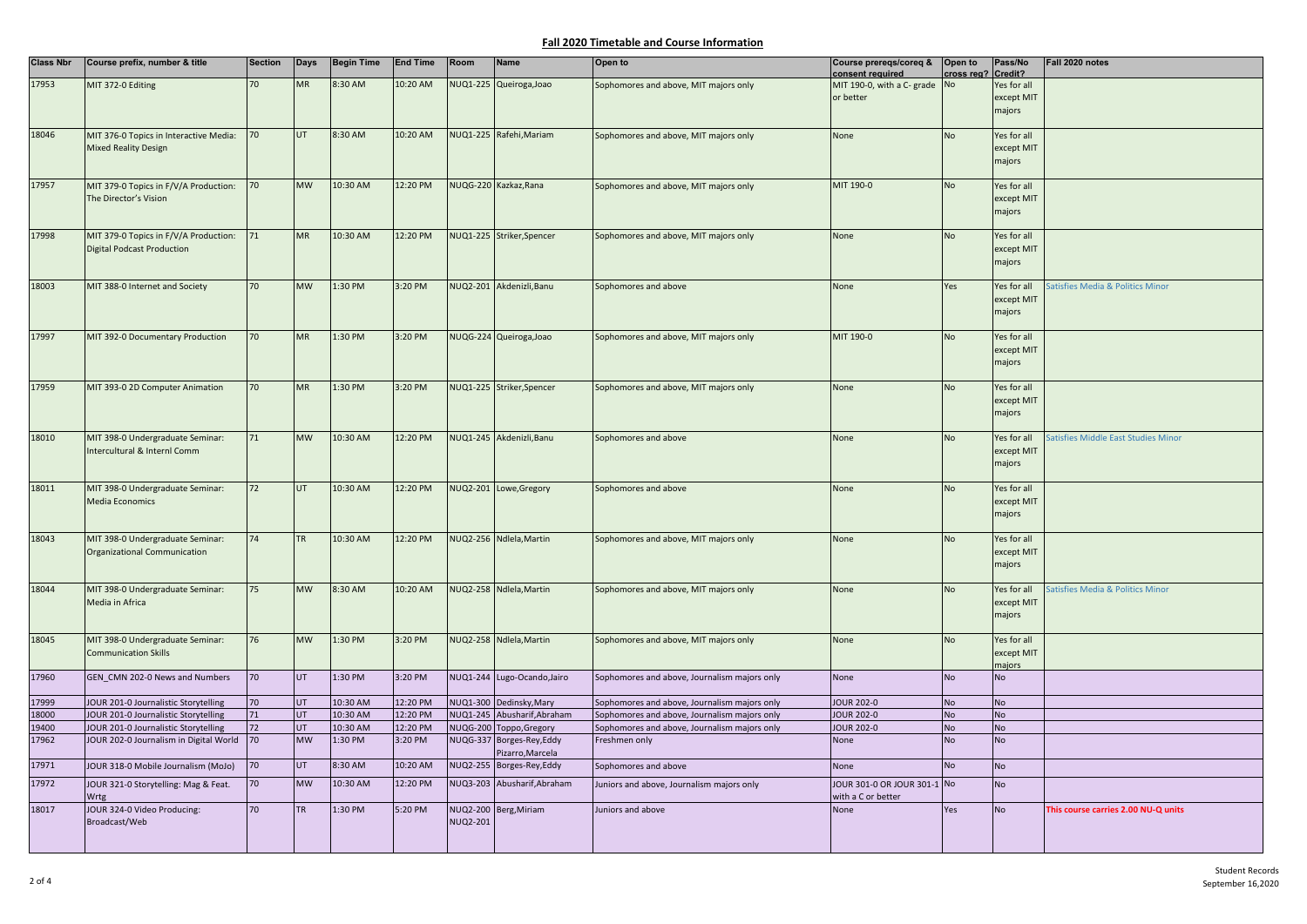| <b>Class Nbr</b> | Course prefix, number & title          | <b>Section</b> | <b>Days</b> | <b>Begin Time</b> | <b>End Time</b> | Room            | Name                        | Open to                                      | Course prereqs/coreq &<br>consent required | Open to<br>cross reg? Credit? | Pass/No              | Fall 2020 notes                     |
|------------------|----------------------------------------|----------------|-------------|-------------------|-----------------|-----------------|-----------------------------|----------------------------------------------|--------------------------------------------|-------------------------------|----------------------|-------------------------------------|
| 17953            | MIT 372-0 Editing                      |                | <b>MR</b>   | 8:30 AM           | 10:20 AM        |                 | NUQ1-225 Queiroga, Joao     | Sophomores and above, MIT majors only        | MIT 190-0, with a C- grade                 | <b>No</b>                     | Yes for all          |                                     |
|                  |                                        |                |             |                   |                 |                 |                             |                                              | or better                                  |                               | except MIT           |                                     |
|                  |                                        |                |             |                   |                 |                 |                             |                                              |                                            |                               | majors               |                                     |
|                  |                                        |                |             |                   |                 |                 |                             |                                              |                                            |                               |                      |                                     |
| 18046            | MIT 376-0 Topics in Interactive Media: | 70             | UT          | 8:30 AM           | 10:20 AM        |                 | NUQ1-225 Rafehi, Mariam     | Sophomores and above, MIT majors only        | None                                       | <b>No</b>                     | Yes for all          |                                     |
|                  | <b>Mixed Reality Design</b>            |                |             |                   |                 |                 |                             |                                              |                                            |                               | except MIT           |                                     |
|                  |                                        |                |             |                   |                 |                 |                             |                                              |                                            |                               | majors               |                                     |
|                  |                                        |                |             |                   |                 |                 |                             |                                              |                                            |                               |                      |                                     |
| 17957            | MIT 379-0 Topics in F/V/A Production:  | 70             | <b>MW</b>   | 10:30 AM          | 12:20 PM        |                 | NUQG-220 Kazkaz, Rana       | Sophomores and above, MIT majors only        | MIT 190-0                                  | No                            | Yes for all          |                                     |
|                  | The Director's Vision                  |                |             |                   |                 |                 |                             |                                              |                                            |                               | except MIT           |                                     |
|                  |                                        |                |             |                   |                 |                 |                             |                                              |                                            |                               | majors               |                                     |
|                  |                                        |                |             |                   |                 |                 |                             |                                              |                                            |                               |                      |                                     |
| 17998            | MIT 379-0 Topics in F/V/A Production:  | 71             | <b>MR</b>   | 10:30 AM          | 12:20 PM        |                 | NUQ1-225 Striker, Spencer   | Sophomores and above, MIT majors only        | None                                       | <b>No</b>                     | Yes for all          |                                     |
|                  | <b>Digital Podcast Production</b>      |                |             |                   |                 |                 |                             |                                              |                                            |                               | except MIT           |                                     |
|                  |                                        |                |             |                   |                 |                 |                             |                                              |                                            |                               | majors               |                                     |
|                  |                                        |                |             |                   |                 |                 |                             |                                              |                                            |                               |                      |                                     |
| 18003            | MIT 388-0 Internet and Society         | 70             | <b>MW</b>   | 1:30 PM           | 3:20 PM         |                 | NUQ2-201 Akdenizli, Banu    | Sophomores and above                         | None                                       | Yes                           | Yes for all          | atisfies Media & Politics Minor     |
|                  |                                        |                |             |                   |                 |                 |                             |                                              |                                            |                               | except MIT           |                                     |
|                  |                                        |                |             |                   |                 |                 |                             |                                              |                                            |                               | majors               |                                     |
|                  |                                        |                |             |                   |                 |                 |                             |                                              |                                            |                               |                      |                                     |
| 17997            | MIT 392-0 Documentary Production       | 70             | <b>MR</b>   | 1:30 PM           | 3:20 PM         |                 | NUQG-224 Queiroga, Joao     | Sophomores and above, MIT majors only        | MIT 190-0                                  | No                            | Yes for all          |                                     |
|                  |                                        |                |             |                   |                 |                 |                             |                                              |                                            |                               | except MIT           |                                     |
|                  |                                        |                |             |                   |                 |                 |                             |                                              |                                            |                               | majors               |                                     |
| 17959            | MIT 393-0 2D Computer Animation        | 70             | <b>MR</b>   | 1:30 PM           | 3:20 PM         |                 | NUQ1-225 Striker, Spencer   | Sophomores and above, MIT majors only        | None                                       | No                            | Yes for all          |                                     |
|                  |                                        |                |             |                   |                 |                 |                             |                                              |                                            |                               | except MIT           |                                     |
|                  |                                        |                |             |                   |                 |                 |                             |                                              |                                            |                               | majors               |                                     |
|                  |                                        |                |             |                   |                 |                 |                             |                                              |                                            |                               |                      |                                     |
| 18010            | MIT 398-0 Undergraduate Seminar:       | 71             | <b>MW</b>   | 10:30 AM          | 12:20 PM        |                 | NUQ1-245 Akdenizli, Banu    | Sophomores and above                         | None                                       | <b>No</b>                     | Yes for all          | atisfies Middle East Studies Minor  |
|                  | Intercultural & Internl Comm           |                |             |                   |                 |                 |                             |                                              |                                            |                               | except MIT           |                                     |
|                  |                                        |                |             |                   |                 |                 |                             |                                              |                                            |                               | majors               |                                     |
|                  |                                        |                |             |                   |                 |                 |                             |                                              |                                            |                               |                      |                                     |
| 18011            | MIT 398-0 Undergraduate Seminar:       | 72             | UT          | 10:30 AM          | 12:20 PM        |                 | NUQ2-201 Lowe, Gregory      | Sophomores and above                         | None                                       | <b>No</b>                     | Yes for all          |                                     |
|                  | <b>Media Economics</b>                 |                |             |                   |                 |                 |                             |                                              |                                            |                               | except MIT           |                                     |
|                  |                                        |                |             |                   |                 |                 |                             |                                              |                                            |                               | majors               |                                     |
|                  |                                        |                |             |                   |                 |                 |                             |                                              |                                            |                               |                      |                                     |
| 18043            | MIT 398-0 Undergraduate Seminar:       | 74             | <b>TR</b>   | 10:30 AM          | 12:20 PM        |                 | NUQ2-256 Ndlela, Martin     | Sophomores and above, MIT majors only        | None                                       | No                            | Yes for all          |                                     |
|                  | Organizational Communication           |                |             |                   |                 |                 |                             |                                              |                                            |                               | except MIT           |                                     |
|                  |                                        |                |             |                   |                 |                 |                             |                                              |                                            |                               | majors               |                                     |
|                  |                                        |                |             |                   |                 |                 |                             |                                              |                                            |                               |                      |                                     |
| 18044            | MIT 398-0 Undergraduate Seminar:       | 75             | <b>MW</b>   | 8:30 AM           | 10:20 AM        |                 | NUQ2-258 Ndlela, Martin     | Sophomores and above, MIT majors only        | None                                       | No                            | Yes for all          | atisfies Media & Politics Minor     |
|                  | Media in Africa                        |                |             |                   |                 |                 |                             |                                              |                                            |                               | except MIT<br>majors |                                     |
|                  |                                        |                |             |                   |                 |                 |                             |                                              |                                            |                               |                      |                                     |
| 18045            | MIT 398-0 Undergraduate Seminar:       | 76             | <b>MW</b>   | 1:30 PM           | 3:20 PM         |                 | NUQ2-258 Ndlela, Martin     | Sophomores and above, MIT majors only        | None                                       | <b>No</b>                     | Yes for all          |                                     |
|                  | <b>Communication Skills</b>            |                |             |                   |                 |                 |                             |                                              |                                            |                               | except MIT           |                                     |
|                  |                                        |                |             |                   |                 |                 |                             |                                              |                                            |                               | majors               |                                     |
| 17960            | GEN_CMN 202-0 News and Numbers         | 70             | UT          | 1:30 PM           | 3:20 PM         |                 | NUQ1-244 Lugo-Ocando, Jairo | Sophomores and above, Journalism majors only | None                                       | <b>No</b>                     | No                   |                                     |
|                  |                                        |                |             |                   |                 |                 |                             |                                              |                                            |                               |                      |                                     |
| 17999            | JOUR 201-0 Journalistic Storytelling   | 70             | <b>UT</b>   | 10:30 AM          | 12:20 PM        |                 | NUQ1-300 Dedinsky, Mary     | Sophomores and above, Journalism majors only | <b>JOUR 202-0</b>                          | <b>No</b>                     | <b>No</b>            |                                     |
| 18000            | JOUR 201-0 Journalistic Storytelling   | 71             | UT.         | 10:30 AM          | 12:20 PM        |                 | NUQ1-245 Abusharif, Abraham | Sophomores and above, Journalism majors only | <b>JOUR 202-0</b>                          | <b>No</b>                     | <b>No</b>            |                                     |
| 19400            | JOUR 201-0 Journalistic Storytelling   | 72             | <b>UT</b>   | 10:30 AM          | 12:20 PM        | <b>NUQG-200</b> | Toppo, Gregory              | Sophomores and above, Journalism majors only | <b>JOUR 202-0</b>                          | <b>No</b>                     | <b>No</b>            |                                     |
| 17962            | JOUR 202-0 Journalism in Digital World | 70             | <b>MW</b>   | 1:30 PM           | 3:20 PM         |                 | NUQG-337 Borges-Rey, Eddy   | Freshmen only                                | None                                       | <b>No</b>                     | <b>No</b>            |                                     |
|                  |                                        |                |             |                   |                 |                 | Pizarro, Marcela            |                                              |                                            |                               |                      |                                     |
| 17971            | JOUR 318-0 Mobile Journalism (MoJo)    | 70             | UT          | 8:30 AM           | 10:20 AM        |                 | NUQ2-255 Borges-Rey, Eddy   | Sophomores and above                         | <b>None</b>                                | <b>No</b>                     | <b>No</b>            |                                     |
| 17972            | JOUR 321-0 Storytelling: Mag & Feat.   | 70             | <b>MW</b>   | 10:30 AM          | 12:20 PM        |                 | NUQ3-203 Abusharif, Abraham | Juniors and above, Journalism majors only    | JOUR 301-0 OR JOUR 301-1 No                |                               | <b>No</b>            |                                     |
|                  | Wrtg                                   |                |             |                   |                 |                 |                             |                                              | with a C or better                         |                               |                      |                                     |
| 18017            | JOUR 324-0 Video Producing:            | 70             | <b>TR</b>   | 1:30 PM           | 5:20 PM         |                 | NUQ2-200 Berg, Miriam       | Juniors and above                            | None                                       | Yes                           | No                   | This course carries 2.00 NU-Q units |
|                  | Broadcast/Web                          |                |             |                   |                 | <b>NUQ2-201</b> |                             |                                              |                                            |                               |                      |                                     |
|                  |                                        |                |             |                   |                 |                 |                             |                                              |                                            |                               |                      |                                     |
|                  |                                        |                |             |                   |                 |                 |                             |                                              |                                            |                               |                      |                                     |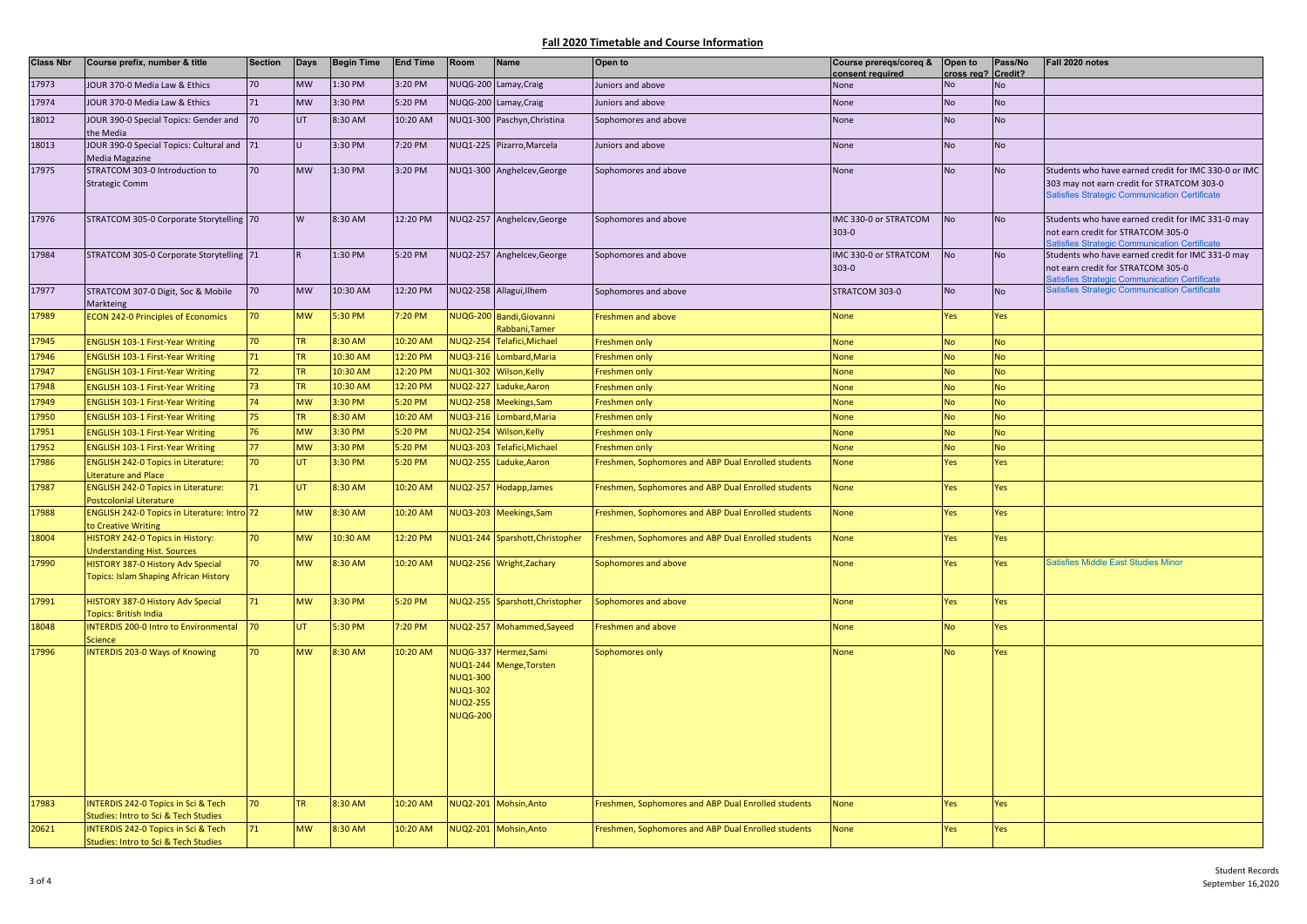| <b>Class Nbr</b> | Course prefix, number & title                                                          | <b>Section</b> | <b>Days</b> | <b>Begin Time</b> | <b>End Time</b> | Room                                                                     | Name                                             | Open to                                             | Course prereqs/coreq &<br>consent required | Open to<br>cross reg? Credit? | Pass/No   | Fall 2020 notes                                                                                                                         |
|------------------|----------------------------------------------------------------------------------------|----------------|-------------|-------------------|-----------------|--------------------------------------------------------------------------|--------------------------------------------------|-----------------------------------------------------|--------------------------------------------|-------------------------------|-----------|-----------------------------------------------------------------------------------------------------------------------------------------|
| 17973            | JOUR 370-0 Media Law & Ethics                                                          | 70             | <b>MW</b>   | 1:30 PM           | 3:20 PM         |                                                                          | NUQG-200 Lamay, Craig                            | Juniors and above                                   | None                                       | Nο                            | No        |                                                                                                                                         |
| 17974            | JOUR 370-0 Media Law & Ethics                                                          | 71             | <b>MW</b>   | 3:30 PM           | 5:20 PM         |                                                                          | NUQG-200 Lamay, Craig                            | Juniors and above                                   | None                                       | No                            | <b>No</b> |                                                                                                                                         |
| 18012            | JOUR 390-0 Special Topics: Gender and                                                  | 70             | UT          | 8:30 AM           | 10:20 AM        |                                                                          | NUQ1-300 Paschyn, Christina                      | Sophomores and above                                | None                                       | <b>No</b>                     | <b>No</b> |                                                                                                                                         |
|                  | the Media                                                                              |                |             |                   |                 |                                                                          |                                                  |                                                     |                                            |                               |           |                                                                                                                                         |
| 18013            | JOUR 390-0 Special Topics: Cultural and 71                                             |                | Ū.          | 3:30 PM           | 7:20 PM         |                                                                          | NUQ1-225 Pizarro, Marcela                        | Juniors and above                                   | None                                       | <b>No</b>                     | <b>No</b> |                                                                                                                                         |
| 17975            | Media Magazine<br>STRATCOM 303-0 Introduction to                                       | 70             | <b>MW</b>   | 1:30 PM           | 3:20 PM         |                                                                          | NUQ1-300 Anghelcev, George                       | Sophomores and above                                | None                                       | <b>No</b>                     | <b>No</b> | Students who have earned credit for IMC 330-0 or IMC                                                                                    |
|                  | <b>Strategic Comm</b>                                                                  |                |             |                   |                 |                                                                          |                                                  |                                                     |                                            |                               |           | 303 may not earn credit for STRATCOM 303-0<br><b>Satisfies Strategic Communication Certificate</b>                                      |
| 17976            | STRATCOM 305-0 Corporate Storytelling 70                                               |                | W           | 8:30 AM           | 12:20 PM        |                                                                          | NUQ2-257 Anghelcev, George                       | Sophomores and above                                | IMC 330-0 or STRATCOM<br>$303 - 0$         | <b>No</b>                     | <b>No</b> | Students who have earned credit for IMC 331-0 may<br>not earn credit for STRATCOM 305-0<br>atisfies Strategic Communication Certificate |
| 17984            | STRATCOM 305-0 Corporate Storytelling 71                                               |                |             | 1:30 PM           | 5:20 PM         |                                                                          | NUQ2-257 Anghelcev, George                       | Sophomores and above                                | IMC 330-0 or STRATCOM<br>$303 - 0$         | <b>No</b>                     | <b>No</b> | Students who have earned credit for IMC 331-0 may<br>not earn credit for STRATCOM 305-0<br>atisfies Strategic Communication Certificate |
| 17977            | STRATCOM 307-0 Digit, Soc & Mobile<br>Markteing                                        | 70             | <b>MW</b>   | 10:30 AM          | 12:20 PM        |                                                                          | NUQ2-258 Allagui, Ilhem                          | Sophomores and above                                | STRATCOM 303-0                             | <b>No</b>                     | <b>No</b> | <b>Satisfies Strategic Communication Certificate</b>                                                                                    |
| 17989            | <b>ECON 242-0 Principles of Economics</b>                                              | 70             | <b>MW</b>   | 5:30 PM           | 7:20 PM         |                                                                          | VUQG-200 Bandi, Giovanni<br>Rabbani, Tamer       | Freshmen and above                                  | None                                       | Yes                           | Yes       |                                                                                                                                         |
| 17945            | <b>ENGLISH 103-1 First-Year Writing</b>                                                | 70             | <b>TR</b>   | 8:30 AM           | 10:20 AM        | <b>NUQ2-254</b>                                                          | Telafici, Michael                                | Freshmen only                                       | <b>None</b>                                | <b>No</b>                     | <b>No</b> |                                                                                                                                         |
| 17946            | <b>ENGLISH 103-1 First-Year Writing</b>                                                | 71             | TR.         | 10:30 AM          | 12:20 PM        |                                                                          | NUQ3-216 Lombard, Maria                          | Freshmen only                                       | None                                       | No                            | No        |                                                                                                                                         |
| 17947            | <b>ENGLISH 103-1 First-Year Writing</b>                                                | 72             | <b>TR</b>   | 10:30 AM          | 12:20 PM        |                                                                          | NUQ1-302 Wilson, Kelly                           | Freshmen only                                       | None                                       | No                            | <b>No</b> |                                                                                                                                         |
| 17948            | <b>ENGLISH 103-1 First-Year Writing</b>                                                | 73             | TR.         | 10:30 AM          | 12:20 PM        | NUQ2-227                                                                 | Laduke, Aaron                                    | Freshmen only                                       | None                                       | No                            | <b>No</b> |                                                                                                                                         |
| 17949            | <b>ENGLISH 103-1 First-Year Writing</b>                                                | 74             | <b>MW</b>   | 3:30 PM           | 5:20 PM         | NUQ2-258                                                                 | Meekings, Sam                                    | Freshmen only                                       | None                                       | No                            | <b>No</b> |                                                                                                                                         |
| 17950            | <b>ENGLISH 103-1 First-Year Writing</b>                                                | 75             | <b>TR</b>   | 8:30 AM           | 10:20 AM        | <b>NUQ3-216</b>                                                          | Lombard, Maria                                   | Freshmen only                                       | None                                       | No                            | <b>No</b> |                                                                                                                                         |
| 17951            | <b>ENGLISH 103-1 First-Year Writing</b>                                                | 76             | <b>MW</b>   | 3:30 PM           | 5:20 PM         | NUQ2-254                                                                 | Wilson, Kelly                                    | Freshmen only                                       | None                                       | No.                           | <b>No</b> |                                                                                                                                         |
| 17952            | <b>ENGLISH 103-1 First-Year Writing</b>                                                | 77             | <b>MW</b>   | 3:30 PM           | 5:20 PM         | <b>NUQ3-203</b>                                                          | Telafici, Michael                                | Freshmen only                                       | None                                       | No                            | <b>No</b> |                                                                                                                                         |
| 17986            | <b>ENGLISH 242-0 Topics in Literature:</b><br><b>Literature and Place</b>              | 70             | UT.         | 3:30 PM           | 5:20 PM         |                                                                          | NUQ2-255 Laduke, Aaron                           | Freshmen, Sophomores and ABP Dual Enrolled students | None                                       | Yes                           | Yes       |                                                                                                                                         |
| 17987            | <b>ENGLISH 242-0 Topics in Literature:</b><br><b>Postcolonial Literature</b>           | 71             | UT.         | 8:30 AM           | 10:20 AM        |                                                                          | NUQ2-257 Hodapp, James                           | Freshmen, Sophomores and ABP Dual Enrolled students | <b>None</b>                                | Yes                           | Yes       |                                                                                                                                         |
| 17988            | ENGLISH 242-0 Topics in Literature: Intro 72<br>to Creative Writing                    |                | <b>MW</b>   | 8:30 AM           | 10:20 AM        |                                                                          | VUQ3-203 Meekings, Sam                           | Freshmen, Sophomores and ABP Dual Enrolled students | None                                       | Yes                           | Yes       |                                                                                                                                         |
| 18004            | HISTORY 242-0 Topics in History:<br><b>Jnderstanding Hist. Sources</b>                 | 70             | <b>MW</b>   | 10:30 AM          | 12:20 PM        |                                                                          | NUQ1-244 Sparshott, Christopher                  | Freshmen, Sophomores and ABP Dual Enrolled students | None                                       | Yes                           | Yes       |                                                                                                                                         |
| 17990            | HISTORY 387-0 History Adv Special<br><b>Topics: Islam Shaping African History</b>      | 70             | <b>MW</b>   | 8:30 AM           | 10:20 AM        |                                                                          | NUQ2-256 Wright, Zachary                         | Sophomores and above                                | None                                       | Yes                           | Yes       | Satisfies Middle East Studies Minor                                                                                                     |
| 17991            | HISTORY 387-0 History Adv Special<br><b>Topics: British India</b>                      | 71             | <b>MW</b>   | 3:30 PM           | 5:20 PM         |                                                                          | NUQ2-255 Sparshott, Christopher                  | Sophomores and above                                | None                                       | Yes                           | Yes       |                                                                                                                                         |
| 18048            | <b>INTERDIS 200-0 Intro to Environmental</b><br><b>Science</b>                         | 70             | UT.         | 5:30 PM           | 7:20 PM         |                                                                          | NUQ2-257 Mohammed, Sayeed                        | Freshmen and above                                  | None                                       | No                            | Yes       |                                                                                                                                         |
| 17996            | <b>INTERDIS 203-0 Ways of Knowing</b>                                                  | 70             | <b>MW</b>   | 8:30 AM           | 10:20 AM        | <b>NUQ1-300</b><br><b>NUQ1-302</b><br><b>NUQ2-255</b><br><b>NUQG-200</b> | NUQG-337 Hermez, Sami<br>NUQ1-244 Menge, Torsten | Sophomores only                                     | None                                       | No                            | Yes       |                                                                                                                                         |
| 17983            | <b>INTERDIS 242-0 Topics in Sci &amp; Tech</b><br>Studies: Intro to Sci & Tech Studies | 70             | <b>TR</b>   | 8:30 AM           | 10:20 AM        |                                                                          | NUQ2-201 Mohsin, Anto                            | Freshmen, Sophomores and ABP Dual Enrolled students | <b>None</b>                                | Yes                           | Yes       |                                                                                                                                         |
| 20621            | INTERDIS 242-0 Topics in Sci & Tech<br>Studies: Intro to Sci & Tech Studies            | 71             | <b>MW</b>   | 8:30 AM           | 10:20 AM        |                                                                          | NUQ2-201 Mohsin, Anto                            | Freshmen, Sophomores and ABP Dual Enrolled students | None                                       | Yes                           | Yes       |                                                                                                                                         |